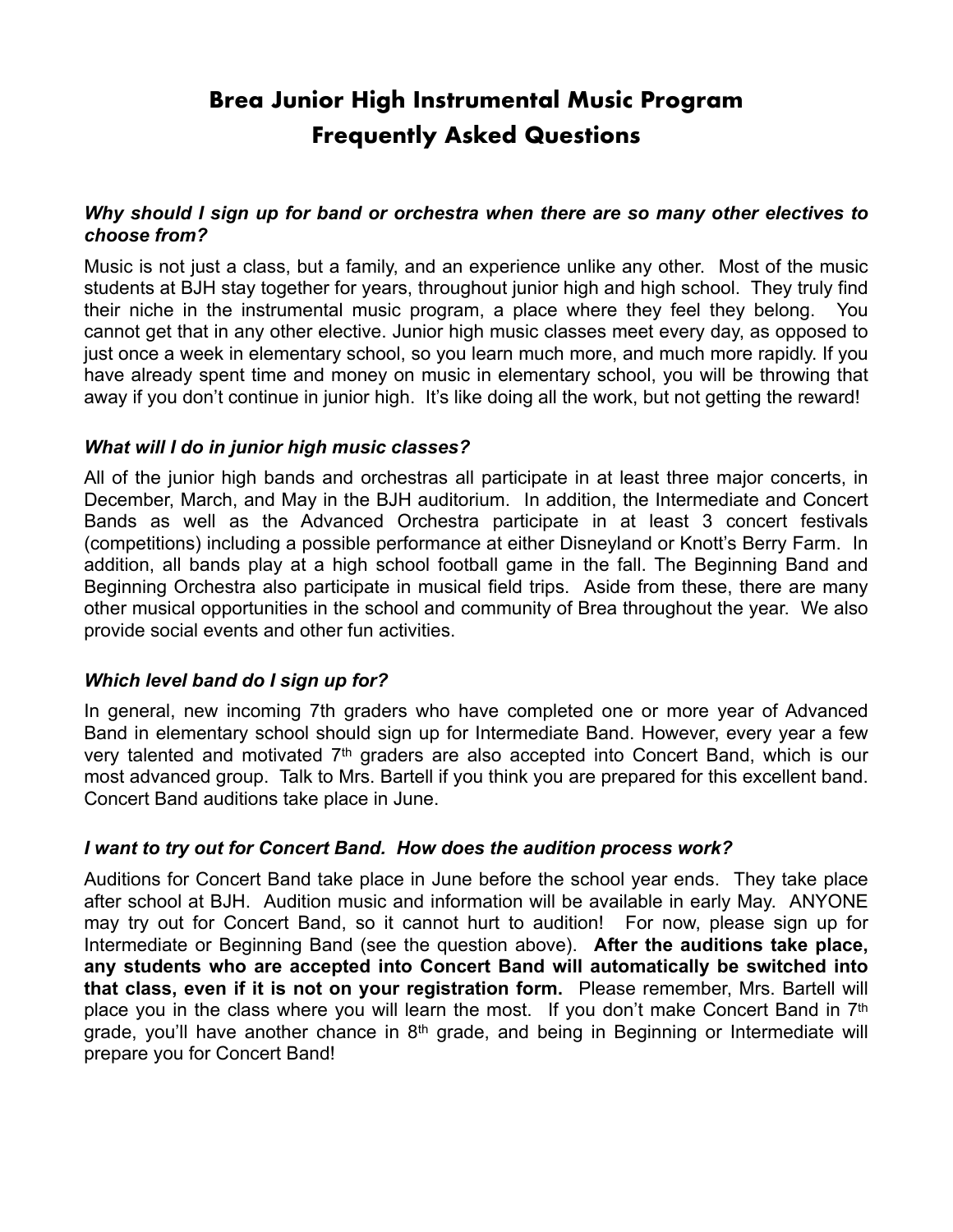# **Brea Junior High Instrumental Music Program Frequently Asked Questions**

### *Why should I sign up for band or orchestra when there are so many other electives to choose from?*

Music is not just a class, but a family, and an experience unlike any other. Most of the music students at BJH stay together for years, throughout junior high and high school. They truly find their niche in the instrumental music program, a place where they feel they belong. You cannot get that in any other elective. Junior high music classes meet every day, as opposed to just once a week in elementary school, so you learn much more, and much more rapidly. If you have already spent time and money on music in elementary school, you will be throwing that away if you don't continue in junior high. It's like doing all the work, but not getting the reward!

## *What will I do in junior high music classes?*

All of the junior high bands and orchestras all participate in at least three major concerts, in December, March, and May in the BJH auditorium. In addition, the Intermediate and Concert Bands as well as the Advanced Orchestra participate in at least 3 concert festivals (competitions) including a possible performance at either Disneyland or Knott's Berry Farm. In addition, all bands play at a high school football game in the fall. The Beginning Band and Beginning Orchestra also participate in musical field trips. Aside from these, there are many other musical opportunities in the school and community of Brea throughout the year. We also provide social events and other fun activities.

#### *Which level band do I sign up for?*

In general, new incoming 7th graders who have completed one or more year of Advanced Band in elementary school should sign up for Intermediate Band. However, every year a few very talented and motivated 7th graders are also accepted into Concert Band, which is our most advanced group. Talk to Mrs. Bartell if you think you are prepared for this excellent band. Concert Band auditions take place in June.

#### *I want to try out for Concert Band. How does the audition process work?*

Auditions for Concert Band take place in June before the school year ends. They take place after school at BJH. Audition music and information will be available in early May. ANYONE may try out for Concert Band, so it cannot hurt to audition! For now, please sign up for Intermediate or Beginning Band (see the question above). **After the auditions take place, any students who are accepted into Concert Band will automatically be switched into that class, even if it is not on your registration form.** Please remember, Mrs. Bartell will place you in the class where you will learn the most. If you don't make Concert Band in 7<sup>th</sup> grade, you'll have another chance in  $8<sup>th</sup>$  grade, and being in Beginning or Intermediate will prepare you for Concert Band!